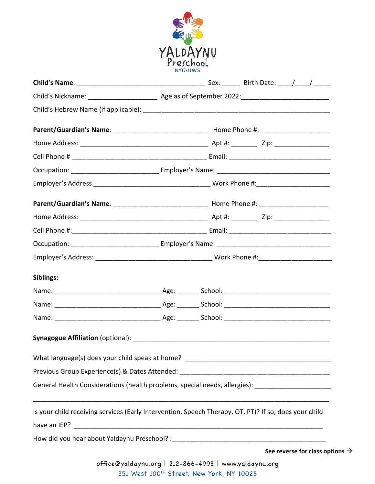

| Siblings:                                                                                             |  |                           |
|-------------------------------------------------------------------------------------------------------|--|---------------------------|
|                                                                                                       |  |                           |
|                                                                                                       |  |                           |
|                                                                                                       |  |                           |
|                                                                                                       |  |                           |
|                                                                                                       |  |                           |
|                                                                                                       |  |                           |
| General Health Considerations (health problems, special needs, allergies): ________________________   |  |                           |
| Is your child receiving services (Early Intervention, Speech Therapy, OT, PT)? If so, does your child |  |                           |
|                                                                                                       |  |                           |
|                                                                                                       |  |                           |
|                                                                                                       |  | See reverse for class opt |

tions  $\rightarrow$